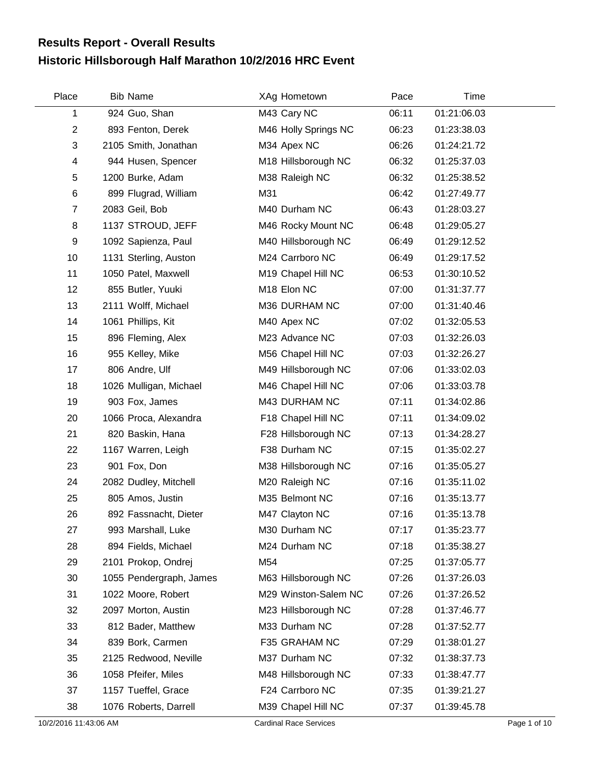## **Historic Hillsborough Half Marathon 10/2/2016 HRC Event Results Report - Overall Results**

| Place          | <b>Bib Name</b>         | XAg Hometown         | Pace  | Time        |  |
|----------------|-------------------------|----------------------|-------|-------------|--|
| 1              | 924 Guo, Shan           | M43 Cary NC          | 06:11 | 01:21:06.03 |  |
| $\overline{2}$ | 893 Fenton, Derek       | M46 Holly Springs NC | 06:23 | 01:23:38.03 |  |
| 3              | 2105 Smith, Jonathan    | M34 Apex NC          | 06:26 | 01:24:21.72 |  |
| 4              | 944 Husen, Spencer      | M18 Hillsborough NC  | 06:32 | 01:25:37.03 |  |
| 5              | 1200 Burke, Adam        | M38 Raleigh NC       | 06:32 | 01:25:38.52 |  |
| 6              | 899 Flugrad, William    | M31                  | 06:42 | 01:27:49.77 |  |
| $\overline{7}$ | 2083 Geil, Bob          | M40 Durham NC        | 06:43 | 01:28:03.27 |  |
| 8              | 1137 STROUD, JEFF       | M46 Rocky Mount NC   | 06:48 | 01:29:05.27 |  |
| 9              | 1092 Sapienza, Paul     | M40 Hillsborough NC  | 06:49 | 01:29:12.52 |  |
| 10             | 1131 Sterling, Auston   | M24 Carrboro NC      | 06:49 | 01:29:17.52 |  |
| 11             | 1050 Patel, Maxwell     | M19 Chapel Hill NC   | 06:53 | 01:30:10.52 |  |
| 12             | 855 Butler, Yuuki       | M18 Elon NC          | 07:00 | 01:31:37.77 |  |
| 13             | 2111 Wolff, Michael     | M36 DURHAM NC        | 07:00 | 01:31:40.46 |  |
| 14             | 1061 Phillips, Kit      | M40 Apex NC          | 07:02 | 01:32:05.53 |  |
| 15             | 896 Fleming, Alex       | M23 Advance NC       | 07:03 | 01:32:26.03 |  |
| 16             | 955 Kelley, Mike        | M56 Chapel Hill NC   | 07:03 | 01:32:26.27 |  |
| 17             | 806 Andre, Ulf          | M49 Hillsborough NC  | 07:06 | 01:33:02.03 |  |
| 18             | 1026 Mulligan, Michael  | M46 Chapel Hill NC   | 07:06 | 01:33:03.78 |  |
| 19             | 903 Fox, James          | M43 DURHAM NC        | 07:11 | 01:34:02.86 |  |
| 20             | 1066 Proca, Alexandra   | F18 Chapel Hill NC   | 07:11 | 01:34:09.02 |  |
| 21             | 820 Baskin, Hana        | F28 Hillsborough NC  | 07:13 | 01:34:28.27 |  |
| 22             | 1167 Warren, Leigh      | F38 Durham NC        | 07:15 | 01:35:02.27 |  |
| 23             | 901 Fox, Don            | M38 Hillsborough NC  | 07:16 | 01:35:05.27 |  |
| 24             | 2082 Dudley, Mitchell   | M20 Raleigh NC       | 07:16 | 01:35:11.02 |  |
| 25             | 805 Amos, Justin        | M35 Belmont NC       | 07:16 | 01:35:13.77 |  |
| 26             | 892 Fassnacht, Dieter   | M47 Clayton NC       | 07:16 | 01:35:13.78 |  |
| 27             | 993 Marshall, Luke      | M30 Durham NC        | 07:17 | 01:35:23.77 |  |
| 28             | 894 Fields, Michael     | M24 Durham NC        | 07:18 | 01:35:38.27 |  |
| 29             | 2101 Prokop, Ondrej     | M54                  | 07:25 | 01:37:05.77 |  |
| 30             | 1055 Pendergraph, James | M63 Hillsborough NC  | 07:26 | 01:37:26.03 |  |
| 31             | 1022 Moore, Robert      | M29 Winston-Salem NC | 07:26 | 01:37:26.52 |  |
| 32             | 2097 Morton, Austin     | M23 Hillsborough NC  | 07:28 | 01:37:46.77 |  |
| 33             | 812 Bader, Matthew      | M33 Durham NC        | 07:28 | 01:37:52.77 |  |
| 34             | 839 Bork, Carmen        | F35 GRAHAM NC        | 07:29 | 01:38:01.27 |  |
| 35             | 2125 Redwood, Neville   | M37 Durham NC        | 07:32 | 01:38:37.73 |  |
| 36             | 1058 Pfeifer, Miles     | M48 Hillsborough NC  | 07:33 | 01:38:47.77 |  |
| 37             | 1157 Tueffel, Grace     | F24 Carrboro NC      | 07:35 | 01:39:21.27 |  |
| 38             | 1076 Roberts, Darrell   | M39 Chapel Hill NC   | 07:37 | 01:39:45.78 |  |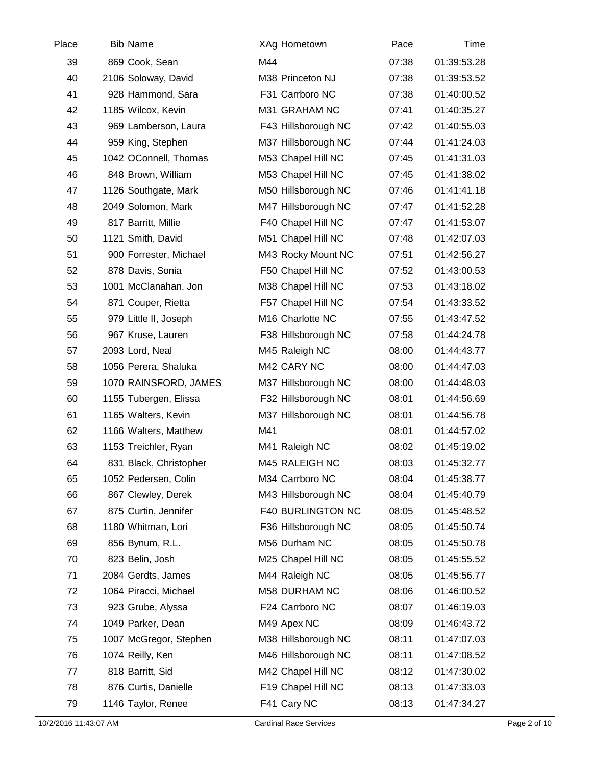| Place | <b>Bib Name</b>        | XAg Hometown        | Pace  | Time        |  |
|-------|------------------------|---------------------|-------|-------------|--|
| 39    | 869 Cook, Sean         | M44                 | 07:38 | 01:39:53.28 |  |
| 40    | 2106 Soloway, David    | M38 Princeton NJ    | 07:38 | 01:39:53.52 |  |
| 41    | 928 Hammond, Sara      | F31 Carrboro NC     | 07:38 | 01:40:00.52 |  |
| 42    | 1185 Wilcox, Kevin     | M31 GRAHAM NC       | 07:41 | 01:40:35.27 |  |
| 43    | 969 Lamberson, Laura   | F43 Hillsborough NC | 07:42 | 01:40:55.03 |  |
| 44    | 959 King, Stephen      | M37 Hillsborough NC | 07:44 | 01:41:24.03 |  |
| 45    | 1042 OConnell, Thomas  | M53 Chapel Hill NC  | 07:45 | 01:41:31.03 |  |
| 46    | 848 Brown, William     | M53 Chapel Hill NC  | 07:45 | 01:41:38.02 |  |
| 47    | 1126 Southgate, Mark   | M50 Hillsborough NC | 07:46 | 01:41:41.18 |  |
| 48    | 2049 Solomon, Mark     | M47 Hillsborough NC | 07:47 | 01:41:52.28 |  |
| 49    | 817 Barritt, Millie    | F40 Chapel Hill NC  | 07:47 | 01:41:53.07 |  |
| 50    | 1121 Smith, David      | M51 Chapel Hill NC  | 07:48 | 01:42:07.03 |  |
| 51    | 900 Forrester, Michael | M43 Rocky Mount NC  | 07:51 | 01:42:56.27 |  |
| 52    | 878 Davis, Sonia       | F50 Chapel Hill NC  | 07:52 | 01:43:00.53 |  |
| 53    | 1001 McClanahan, Jon   | M38 Chapel Hill NC  | 07:53 | 01:43:18.02 |  |
| 54    | 871 Couper, Rietta     | F57 Chapel Hill NC  | 07:54 | 01:43:33.52 |  |
| 55    | 979 Little II, Joseph  | M16 Charlotte NC    | 07:55 | 01:43:47.52 |  |
| 56    | 967 Kruse, Lauren      | F38 Hillsborough NC | 07:58 | 01:44:24.78 |  |
| 57    | 2093 Lord, Neal        | M45 Raleigh NC      | 08:00 | 01:44:43.77 |  |
| 58    | 1056 Perera, Shaluka   | M42 CARY NC         | 08:00 | 01:44:47.03 |  |
| 59    | 1070 RAINSFORD, JAMES  | M37 Hillsborough NC | 08:00 | 01:44:48.03 |  |
| 60    | 1155 Tubergen, Elissa  | F32 Hillsborough NC | 08:01 | 01:44:56.69 |  |
| 61    | 1165 Walters, Kevin    | M37 Hillsborough NC | 08:01 | 01:44:56.78 |  |
| 62    | 1166 Walters, Matthew  | M41                 | 08:01 | 01:44:57.02 |  |
| 63    | 1153 Treichler, Ryan   | M41 Raleigh NC      | 08:02 | 01:45:19.02 |  |
| 64    | 831 Black, Christopher | M45 RALEIGH NC      | 08:03 | 01:45:32.77 |  |
| 65    | 1052 Pedersen, Colin   | M34 Carrboro NC     | 08:04 | 01:45:38.77 |  |
| 66    | 867 Clewley, Derek     | M43 Hillsborough NC | 08:04 | 01:45:40.79 |  |
| 67    | 875 Curtin, Jennifer   | F40 BURLINGTON NC   | 08:05 | 01:45:48.52 |  |
| 68    | 1180 Whitman, Lori     | F36 Hillsborough NC | 08:05 | 01:45:50.74 |  |
| 69    | 856 Bynum, R.L.        | M56 Durham NC       | 08:05 | 01:45:50.78 |  |
| 70    | 823 Belin, Josh        | M25 Chapel Hill NC  | 08:05 | 01:45:55.52 |  |
| 71    | 2084 Gerdts, James     | M44 Raleigh NC      | 08:05 | 01:45:56.77 |  |
| 72    | 1064 Piracci, Michael  | M58 DURHAM NC       | 08:06 | 01:46:00.52 |  |
| 73    | 923 Grube, Alyssa      | F24 Carrboro NC     | 08:07 | 01:46:19.03 |  |
| 74    | 1049 Parker, Dean      | M49 Apex NC         | 08:09 | 01:46:43.72 |  |
| 75    | 1007 McGregor, Stephen | M38 Hillsborough NC | 08:11 | 01:47:07.03 |  |
| 76    | 1074 Reilly, Ken       | M46 Hillsborough NC | 08:11 | 01:47:08.52 |  |
| 77    | 818 Barritt, Sid       | M42 Chapel Hill NC  | 08:12 | 01:47:30.02 |  |
| 78    | 876 Curtis, Danielle   | F19 Chapel Hill NC  | 08:13 | 01:47:33.03 |  |
| 79    | 1146 Taylor, Renee     | F41 Cary NC         | 08:13 | 01:47:34.27 |  |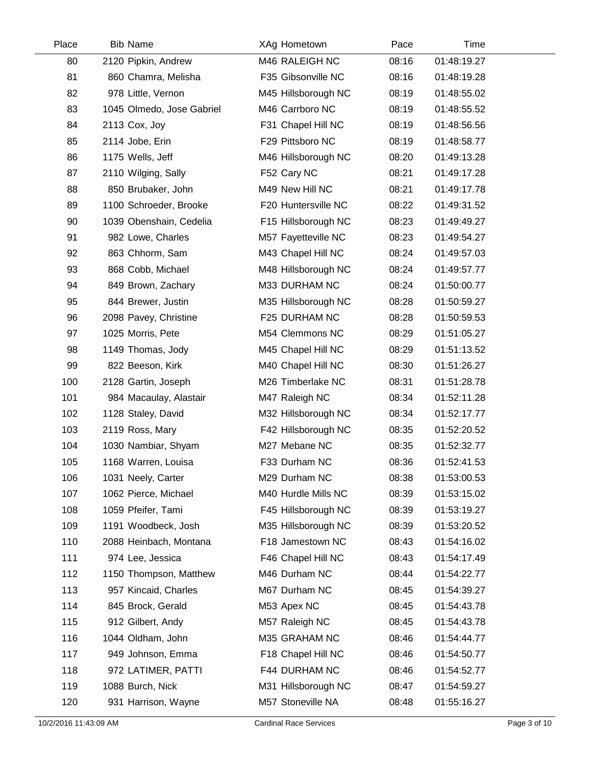| Place | <b>Bib Name</b>           | XAg Hometown        | Pace  | Time        |  |
|-------|---------------------------|---------------------|-------|-------------|--|
| 80    | 2120 Pipkin, Andrew       | M46 RALEIGH NC      | 08:16 | 01:48:19.27 |  |
| 81    | 860 Chamra, Melisha       | F35 Gibsonville NC  | 08:16 | 01:48:19.28 |  |
| 82    | 978 Little, Vernon        | M45 Hillsborough NC | 08:19 | 01:48:55.02 |  |
| 83    | 1045 Olmedo, Jose Gabriel | M46 Carrboro NC     | 08:19 | 01:48:55.52 |  |
| 84    | 2113 Cox, Joy             | F31 Chapel Hill NC  | 08:19 | 01:48:56.56 |  |
| 85    | 2114 Jobe, Erin           | F29 Pittsboro NC    | 08:19 | 01:48:58.77 |  |
| 86    | 1175 Wells, Jeff          | M46 Hillsborough NC | 08:20 | 01:49:13.28 |  |
| 87    | 2110 Wilging, Sally       | F52 Cary NC         | 08:21 | 01:49:17.28 |  |
| 88    | 850 Brubaker, John        | M49 New Hill NC     | 08:21 | 01:49:17.78 |  |
| 89    | 1100 Schroeder, Brooke    | F20 Huntersville NC | 08:22 | 01:49:31.52 |  |
| 90    | 1039 Obenshain, Cedelia   | F15 Hillsborough NC | 08:23 | 01:49:49.27 |  |
| 91    | 982 Lowe, Charles         | M57 Fayetteville NC | 08:23 | 01:49:54.27 |  |
| 92    | 863 Chhorm, Sam           | M43 Chapel Hill NC  | 08:24 | 01:49:57.03 |  |
| 93    | 868 Cobb, Michael         | M48 Hillsborough NC | 08:24 | 01:49:57.77 |  |
| 94    | 849 Brown, Zachary        | M33 DURHAM NC       | 08:24 | 01:50:00.77 |  |
| 95    | 844 Brewer, Justin        | M35 Hillsborough NC | 08:28 | 01:50:59.27 |  |
| 96    | 2098 Pavey, Christine     | F25 DURHAM NC       | 08:28 | 01:50:59.53 |  |
| 97    | 1025 Morris, Pete         | M54 Clemmons NC     | 08:29 | 01:51:05.27 |  |
| 98    | 1149 Thomas, Jody         | M45 Chapel Hill NC  | 08:29 | 01:51:13.52 |  |
| 99    | 822 Beeson, Kirk          | M40 Chapel Hill NC  | 08:30 | 01:51:26.27 |  |
| 100   | 2128 Gartin, Joseph       | M26 Timberlake NC   | 08:31 | 01:51:28.78 |  |
| 101   | 984 Macaulay, Alastair    | M47 Raleigh NC      | 08:34 | 01:52:11.28 |  |
| 102   | 1128 Staley, David        | M32 Hillsborough NC | 08:34 | 01:52:17.77 |  |
| 103   | 2119 Ross, Mary           | F42 Hillsborough NC | 08:35 | 01:52:20.52 |  |
| 104   | 1030 Nambiar, Shyam       | M27 Mebane NC       | 08:35 | 01:52:32.77 |  |
| 105   | 1168 Warren, Louisa       | F33 Durham NC       | 08:36 | 01:52:41.53 |  |
| 106   | 1031 Neely, Carter        | M29 Durham NC       | 08:38 | 01:53:00.53 |  |
| 107   | 1062 Pierce, Michael      | M40 Hurdle Mills NC | 08:39 | 01:53:15.02 |  |
| 108   | 1059 Pfeifer, Tami        | F45 Hillsborough NC | 08:39 | 01:53:19.27 |  |
| 109   | 1191 Woodbeck, Josh       | M35 Hillsborough NC | 08:39 | 01:53:20.52 |  |
| 110   | 2088 Heinbach, Montana    | F18 Jamestown NC    | 08:43 | 01:54:16.02 |  |
| 111   | 974 Lee, Jessica          | F46 Chapel Hill NC  | 08:43 | 01:54:17.49 |  |
| 112   | 1150 Thompson, Matthew    | M46 Durham NC       | 08:44 | 01:54:22.77 |  |
| 113   | 957 Kincaid, Charles      | M67 Durham NC       | 08:45 | 01:54:39.27 |  |
| 114   | 845 Brock, Gerald         | M53 Apex NC         | 08:45 | 01:54:43.78 |  |
| 115   | 912 Gilbert, Andy         | M57 Raleigh NC      | 08:45 | 01:54:43.78 |  |
| 116   | 1044 Oldham, John         | M35 GRAHAM NC       | 08:46 | 01:54:44.77 |  |
| 117   | 949 Johnson, Emma         | F18 Chapel Hill NC  | 08:46 | 01:54:50.77 |  |
| 118   | 972 LATIMER, PATTI        | F44 DURHAM NC       | 08:46 | 01:54:52.77 |  |
| 119   | 1088 Burch, Nick          | M31 Hillsborough NC | 08:47 | 01:54:59.27 |  |
| 120   | 931 Harrison, Wayne       | M57 Stoneville NA   | 08:48 | 01:55:16.27 |  |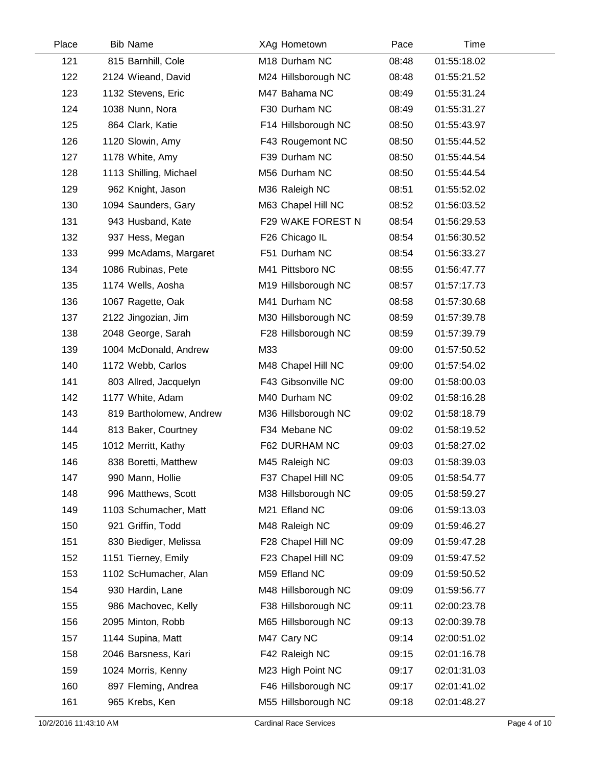| Place | <b>Bib Name</b>         |     | XAg Hometown        | Pace  | Time        |  |
|-------|-------------------------|-----|---------------------|-------|-------------|--|
| 121   | 815 Barnhill, Cole      |     | M18 Durham NC       | 08:48 | 01:55:18.02 |  |
| 122   | 2124 Wieand, David      |     | M24 Hillsborough NC | 08:48 | 01:55:21.52 |  |
| 123   | 1132 Stevens, Eric      |     | M47 Bahama NC       | 08:49 | 01:55:31.24 |  |
| 124   | 1038 Nunn, Nora         |     | F30 Durham NC       | 08:49 | 01:55:31.27 |  |
| 125   | 864 Clark, Katie        |     | F14 Hillsborough NC | 08:50 | 01:55:43.97 |  |
| 126   | 1120 Slowin, Amy        |     | F43 Rougemont NC    | 08:50 | 01:55:44.52 |  |
| 127   | 1178 White, Amy         |     | F39 Durham NC       | 08:50 | 01:55:44.54 |  |
| 128   | 1113 Shilling, Michael  |     | M56 Durham NC       | 08:50 | 01:55:44.54 |  |
| 129   | 962 Knight, Jason       |     | M36 Raleigh NC      | 08:51 | 01:55:52.02 |  |
| 130   | 1094 Saunders, Gary     |     | M63 Chapel Hill NC  | 08:52 | 01:56:03.52 |  |
| 131   | 943 Husband, Kate       |     | F29 WAKE FOREST N   | 08:54 | 01:56:29.53 |  |
| 132   | 937 Hess, Megan         |     | F26 Chicago IL      | 08:54 | 01:56:30.52 |  |
| 133   | 999 McAdams, Margaret   |     | F51 Durham NC       | 08:54 | 01:56:33.27 |  |
| 134   | 1086 Rubinas, Pete      |     | M41 Pittsboro NC    | 08:55 | 01:56:47.77 |  |
| 135   | 1174 Wells, Aosha       |     | M19 Hillsborough NC | 08:57 | 01:57:17.73 |  |
| 136   | 1067 Ragette, Oak       |     | M41 Durham NC       | 08:58 | 01:57:30.68 |  |
| 137   | 2122 Jingozian, Jim     |     | M30 Hillsborough NC | 08:59 | 01:57:39.78 |  |
| 138   | 2048 George, Sarah      |     | F28 Hillsborough NC | 08:59 | 01:57:39.79 |  |
| 139   | 1004 McDonald, Andrew   | M33 |                     | 09:00 | 01:57:50.52 |  |
| 140   | 1172 Webb, Carlos       |     | M48 Chapel Hill NC  | 09:00 | 01:57:54.02 |  |
| 141   | 803 Allred, Jacquelyn   |     | F43 Gibsonville NC  | 09:00 | 01:58:00.03 |  |
| 142   | 1177 White, Adam        |     | M40 Durham NC       | 09:02 | 01:58:16.28 |  |
| 143   | 819 Bartholomew, Andrew |     | M36 Hillsborough NC | 09:02 | 01:58:18.79 |  |
| 144   | 813 Baker, Courtney     |     | F34 Mebane NC       | 09:02 | 01:58:19.52 |  |
| 145   | 1012 Merritt, Kathy     |     | F62 DURHAM NC       | 09:03 | 01:58:27.02 |  |
| 146   | 838 Boretti, Matthew    |     | M45 Raleigh NC      | 09:03 | 01:58:39.03 |  |
| 147   | 990 Mann, Hollie        |     | F37 Chapel Hill NC  | 09:05 | 01:58:54.77 |  |
| 148   | 996 Matthews, Scott     |     | M38 Hillsborough NC | 09:05 | 01:58:59.27 |  |
| 149   | 1103 Schumacher, Matt   |     | M21 Efland NC       | 09:06 | 01:59:13.03 |  |
| 150   | 921 Griffin, Todd       |     | M48 Raleigh NC      | 09:09 | 01:59:46.27 |  |
| 151   | 830 Biediger, Melissa   |     | F28 Chapel Hill NC  | 09:09 | 01:59:47.28 |  |
| 152   | 1151 Tierney, Emily     |     | F23 Chapel Hill NC  | 09:09 | 01:59:47.52 |  |
| 153   | 1102 ScHumacher, Alan   |     | M59 Efland NC       | 09:09 | 01:59:50.52 |  |
| 154   | 930 Hardin, Lane        |     | M48 Hillsborough NC | 09:09 | 01:59:56.77 |  |
| 155   | 986 Machovec, Kelly     |     | F38 Hillsborough NC | 09:11 | 02:00:23.78 |  |
| 156   | 2095 Minton, Robb       |     | M65 Hillsborough NC | 09:13 | 02:00:39.78 |  |
| 157   | 1144 Supina, Matt       |     | M47 Cary NC         | 09:14 | 02:00:51.02 |  |
| 158   | 2046 Barsness, Kari     |     | F42 Raleigh NC      | 09:15 | 02:01:16.78 |  |
| 159   | 1024 Morris, Kenny      |     | M23 High Point NC   | 09:17 | 02:01:31.03 |  |
| 160   | 897 Fleming, Andrea     |     | F46 Hillsborough NC | 09:17 | 02:01:41.02 |  |
| 161   | 965 Krebs, Ken          |     | M55 Hillsborough NC | 09:18 | 02:01:48.27 |  |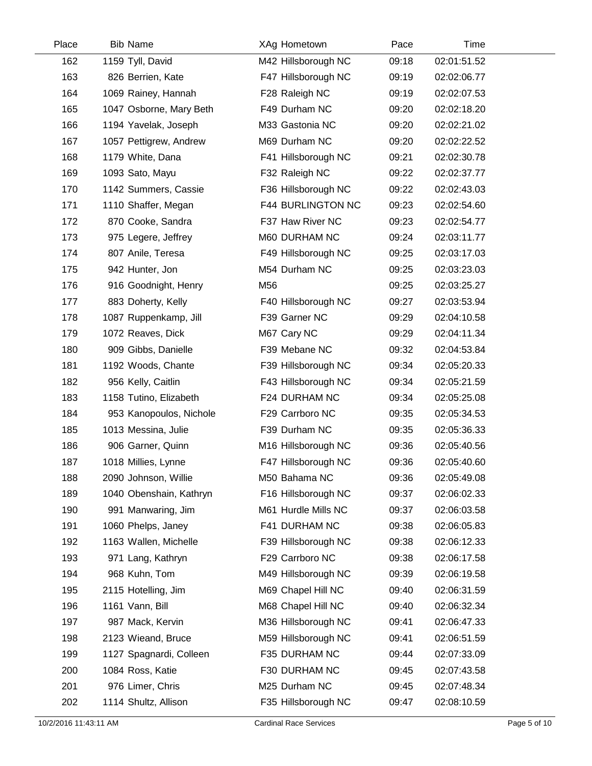| Place | <b>Bib Name</b>         | XAg Hometown             | Pace  | Time        |  |
|-------|-------------------------|--------------------------|-------|-------------|--|
| 162   | 1159 Tyll, David        | M42 Hillsborough NC      | 09:18 | 02:01:51.52 |  |
| 163   | 826 Berrien, Kate       | F47 Hillsborough NC      | 09:19 | 02:02:06.77 |  |
| 164   | 1069 Rainey, Hannah     | F28 Raleigh NC           | 09:19 | 02:02:07.53 |  |
| 165   | 1047 Osborne, Mary Beth | F49 Durham NC            | 09:20 | 02:02:18.20 |  |
| 166   | 1194 Yavelak, Joseph    | M33 Gastonia NC          | 09:20 | 02:02:21.02 |  |
| 167   | 1057 Pettigrew, Andrew  | M69 Durham NC            | 09:20 | 02:02:22.52 |  |
| 168   | 1179 White, Dana        | F41 Hillsborough NC      | 09:21 | 02:02:30.78 |  |
| 169   | 1093 Sato, Mayu         | F32 Raleigh NC           | 09:22 | 02:02:37.77 |  |
| 170   | 1142 Summers, Cassie    | F36 Hillsborough NC      | 09:22 | 02:02:43.03 |  |
| 171   | 1110 Shaffer, Megan     | <b>F44 BURLINGTON NC</b> | 09:23 | 02:02:54.60 |  |
| 172   | 870 Cooke, Sandra       | F37 Haw River NC         | 09:23 | 02:02:54.77 |  |
| 173   | 975 Legere, Jeffrey     | M60 DURHAM NC            | 09:24 | 02:03:11.77 |  |
| 174   | 807 Anile, Teresa       | F49 Hillsborough NC      | 09:25 | 02:03:17.03 |  |
| 175   | 942 Hunter, Jon         | M54 Durham NC            | 09:25 | 02:03:23.03 |  |
| 176   | 916 Goodnight, Henry    | M56                      | 09:25 | 02:03:25.27 |  |
| 177   | 883 Doherty, Kelly      | F40 Hillsborough NC      | 09:27 | 02:03:53.94 |  |
| 178   | 1087 Ruppenkamp, Jill   | F39 Garner NC            | 09:29 | 02:04:10.58 |  |
| 179   | 1072 Reaves, Dick       | M67 Cary NC              | 09:29 | 02:04:11.34 |  |
| 180   | 909 Gibbs, Danielle     | F39 Mebane NC            | 09:32 | 02:04:53.84 |  |
| 181   | 1192 Woods, Chante      | F39 Hillsborough NC      | 09:34 | 02:05:20.33 |  |
| 182   | 956 Kelly, Caitlin      | F43 Hillsborough NC      | 09:34 | 02:05:21.59 |  |
| 183   | 1158 Tutino, Elizabeth  | F24 DURHAM NC            | 09:34 | 02:05:25.08 |  |
| 184   | 953 Kanopoulos, Nichole | F29 Carrboro NC          | 09:35 | 02:05:34.53 |  |
| 185   | 1013 Messina, Julie     | F39 Durham NC            | 09:35 | 02:05:36.33 |  |
| 186   | 906 Garner, Quinn       | M16 Hillsborough NC      | 09:36 | 02:05:40.56 |  |
| 187   | 1018 Millies, Lynne     | F47 Hillsborough NC      | 09:36 | 02:05:40.60 |  |
| 188   | 2090 Johnson, Willie    | M50 Bahama NC            | 09:36 | 02:05:49.08 |  |
| 189   | 1040 Obenshain, Kathryn | F16 Hillsborough NC      | 09:37 | 02:06:02.33 |  |
| 190   | 991 Manwaring, Jim      | M61 Hurdle Mills NC      | 09:37 | 02:06:03.58 |  |
| 191   | 1060 Phelps, Janey      | F41 DURHAM NC            | 09:38 | 02:06:05.83 |  |
| 192   | 1163 Wallen, Michelle   | F39 Hillsborough NC      | 09:38 | 02:06:12.33 |  |
| 193   | 971 Lang, Kathryn       | F29 Carrboro NC          | 09:38 | 02:06:17.58 |  |
| 194   | 968 Kuhn, Tom           | M49 Hillsborough NC      | 09:39 | 02:06:19.58 |  |
| 195   | 2115 Hotelling, Jim     | M69 Chapel Hill NC       | 09:40 | 02:06:31.59 |  |
| 196   | 1161 Vann, Bill         | M68 Chapel Hill NC       | 09:40 | 02:06:32.34 |  |
| 197   | 987 Mack, Kervin        | M36 Hillsborough NC      | 09:41 | 02:06:47.33 |  |
| 198   | 2123 Wieand, Bruce      | M59 Hillsborough NC      | 09:41 | 02:06:51.59 |  |
| 199   | 1127 Spagnardi, Colleen | F35 DURHAM NC            | 09:44 | 02:07:33.09 |  |
| 200   | 1084 Ross, Katie        | F30 DURHAM NC            | 09:45 | 02:07:43.58 |  |
| 201   | 976 Limer, Chris        | M25 Durham NC            | 09:45 | 02:07:48.34 |  |
| 202   | 1114 Shultz, Allison    | F35 Hillsborough NC      | 09:47 | 02:08:10.59 |  |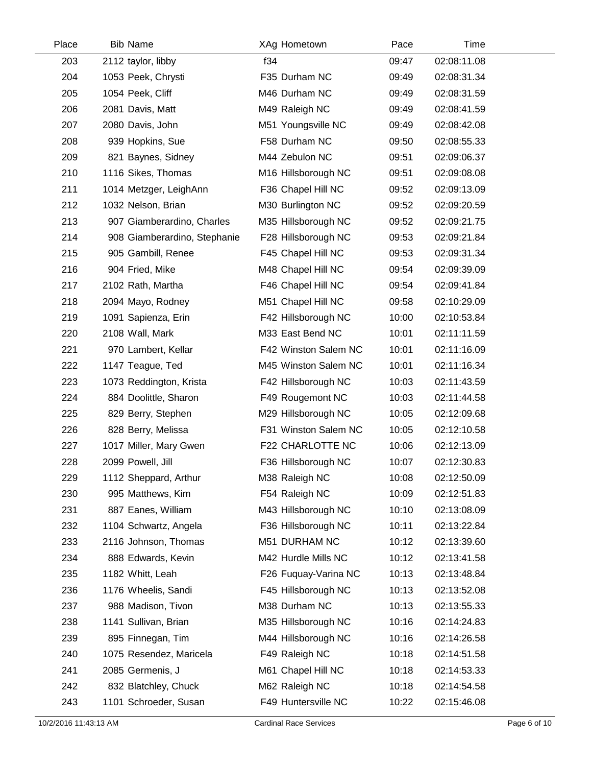| Place | <b>Bib Name</b>              | XAg Hometown         | Pace  | Time        |  |
|-------|------------------------------|----------------------|-------|-------------|--|
| 203   | 2112 taylor, libby           | f34                  | 09:47 | 02:08:11.08 |  |
| 204   | 1053 Peek, Chrysti           | F35 Durham NC        | 09:49 | 02:08:31.34 |  |
| 205   | 1054 Peek, Cliff             | M46 Durham NC        | 09:49 | 02:08:31.59 |  |
| 206   | 2081 Davis, Matt             | M49 Raleigh NC       | 09:49 | 02:08:41.59 |  |
| 207   | 2080 Davis, John             | M51 Youngsville NC   | 09:49 | 02:08:42.08 |  |
| 208   | 939 Hopkins, Sue             | F58 Durham NC        | 09:50 | 02:08:55.33 |  |
| 209   | 821 Baynes, Sidney           | M44 Zebulon NC       | 09:51 | 02:09:06.37 |  |
| 210   | 1116 Sikes, Thomas           | M16 Hillsborough NC  | 09:51 | 02:09:08.08 |  |
| 211   | 1014 Metzger, LeighAnn       | F36 Chapel Hill NC   | 09:52 | 02:09:13.09 |  |
| 212   | 1032 Nelson, Brian           | M30 Burlington NC    | 09:52 | 02:09:20.59 |  |
| 213   | 907 Giamberardino, Charles   | M35 Hillsborough NC  | 09:52 | 02:09:21.75 |  |
| 214   | 908 Giamberardino, Stephanie | F28 Hillsborough NC  | 09:53 | 02:09:21.84 |  |
| 215   | 905 Gambill, Renee           | F45 Chapel Hill NC   | 09:53 | 02:09:31.34 |  |
| 216   | 904 Fried, Mike              | M48 Chapel Hill NC   | 09:54 | 02:09:39.09 |  |
| 217   | 2102 Rath, Martha            | F46 Chapel Hill NC   | 09:54 | 02:09:41.84 |  |
| 218   | 2094 Mayo, Rodney            | M51 Chapel Hill NC   | 09:58 | 02:10:29.09 |  |
| 219   | 1091 Sapienza, Erin          | F42 Hillsborough NC  | 10:00 | 02:10:53.84 |  |
| 220   | 2108 Wall, Mark              | M33 East Bend NC     | 10:01 | 02:11:11.59 |  |
| 221   | 970 Lambert, Kellar          | F42 Winston Salem NC | 10:01 | 02:11:16.09 |  |
| 222   | 1147 Teague, Ted             | M45 Winston Salem NC | 10:01 | 02:11:16.34 |  |
| 223   | 1073 Reddington, Krista      | F42 Hillsborough NC  | 10:03 | 02:11:43.59 |  |
| 224   | 884 Doolittle, Sharon        | F49 Rougemont NC     | 10:03 | 02:11:44.58 |  |
| 225   | 829 Berry, Stephen           | M29 Hillsborough NC  | 10:05 | 02:12:09.68 |  |
| 226   | 828 Berry, Melissa           | F31 Winston Salem NC | 10:05 | 02:12:10.58 |  |
| 227   | 1017 Miller, Mary Gwen       | F22 CHARLOTTE NC     | 10:06 | 02:12:13.09 |  |
| 228   | 2099 Powell, Jill            | F36 Hillsborough NC  | 10:07 | 02:12:30.83 |  |
| 229   | 1112 Sheppard, Arthur        | M38 Raleigh NC       | 10:08 | 02:12:50.09 |  |
| 230   | 995 Matthews, Kim            | F54 Raleigh NC       | 10:09 | 02:12:51.83 |  |
| 231   | 887 Eanes, William           | M43 Hillsborough NC  | 10:10 | 02:13:08.09 |  |
| 232   | 1104 Schwartz, Angela        | F36 Hillsborough NC  | 10:11 | 02:13:22.84 |  |
| 233   | 2116 Johnson, Thomas         | M51 DURHAM NC        | 10:12 | 02:13:39.60 |  |
| 234   | 888 Edwards, Kevin           | M42 Hurdle Mills NC  | 10:12 | 02:13:41.58 |  |
| 235   | 1182 Whitt, Leah             | F26 Fuquay-Varina NC | 10:13 | 02:13:48.84 |  |
| 236   | 1176 Wheelis, Sandi          | F45 Hillsborough NC  | 10:13 | 02:13:52.08 |  |
| 237   | 988 Madison, Tivon           | M38 Durham NC        | 10:13 | 02:13:55.33 |  |
| 238   | 1141 Sullivan, Brian         | M35 Hillsborough NC  | 10:16 | 02:14:24.83 |  |
| 239   | 895 Finnegan, Tim            | M44 Hillsborough NC  | 10:16 | 02:14:26.58 |  |
| 240   | 1075 Resendez, Maricela      | F49 Raleigh NC       | 10:18 | 02:14:51.58 |  |
| 241   | 2085 Germenis, J             | M61 Chapel Hill NC   | 10:18 | 02:14:53.33 |  |
| 242   | 832 Blatchley, Chuck         | M62 Raleigh NC       | 10:18 | 02:14:54.58 |  |
| 243   | 1101 Schroeder, Susan        | F49 Huntersville NC  | 10:22 | 02:15:46.08 |  |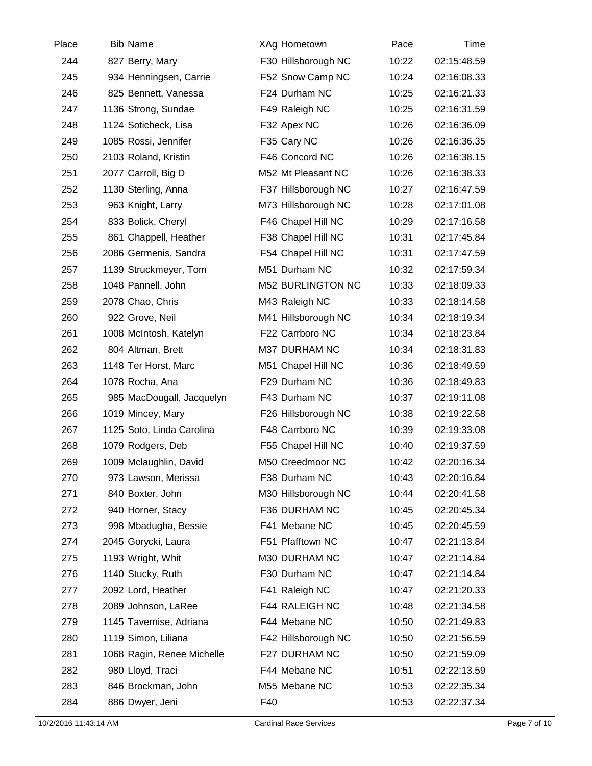| Place | <b>Bib Name</b>            | XAg Hometown        | Pace  | Time        |  |
|-------|----------------------------|---------------------|-------|-------------|--|
| 244   | 827 Berry, Mary            | F30 Hillsborough NC | 10:22 | 02:15:48.59 |  |
| 245   | 934 Henningsen, Carrie     | F52 Snow Camp NC    | 10:24 | 02:16:08.33 |  |
| 246   | 825 Bennett, Vanessa       | F24 Durham NC       | 10:25 | 02:16:21.33 |  |
| 247   | 1136 Strong, Sundae        | F49 Raleigh NC      | 10:25 | 02:16:31.59 |  |
| 248   | 1124 Soticheck, Lisa       | F32 Apex NC         | 10:26 | 02:16:36.09 |  |
| 249   | 1085 Rossi, Jennifer       | F35 Cary NC         | 10:26 | 02:16:36.35 |  |
| 250   | 2103 Roland, Kristin       | F46 Concord NC      | 10:26 | 02:16:38.15 |  |
| 251   | 2077 Carroll, Big D        | M52 Mt Pleasant NC  | 10:26 | 02:16:38.33 |  |
| 252   | 1130 Sterling, Anna        | F37 Hillsborough NC | 10:27 | 02:16:47.59 |  |
| 253   | 963 Knight, Larry          | M73 Hillsborough NC | 10:28 | 02:17:01.08 |  |
| 254   | 833 Bolick, Cheryl         | F46 Chapel Hill NC  | 10:29 | 02:17:16.58 |  |
| 255   | 861 Chappell, Heather      | F38 Chapel Hill NC  | 10:31 | 02:17:45.84 |  |
| 256   | 2086 Germenis, Sandra      | F54 Chapel Hill NC  | 10:31 | 02:17:47.59 |  |
| 257   | 1139 Struckmeyer, Tom      | M51 Durham NC       | 10:32 | 02:17:59.34 |  |
| 258   | 1048 Pannell, John         | M52 BURLINGTON NC   | 10:33 | 02:18:09.33 |  |
| 259   | 2078 Chao, Chris           | M43 Raleigh NC      | 10:33 | 02:18:14.58 |  |
| 260   | 922 Grove, Neil            | M41 Hillsborough NC | 10:34 | 02:18:19.34 |  |
| 261   | 1008 McIntosh, Katelyn     | F22 Carrboro NC     | 10:34 | 02:18:23.84 |  |
| 262   | 804 Altman, Brett          | M37 DURHAM NC       | 10:34 | 02:18:31.83 |  |
| 263   | 1148 Ter Horst, Marc       | M51 Chapel Hill NC  | 10:36 | 02:18:49.59 |  |
| 264   | 1078 Rocha, Ana            | F29 Durham NC       | 10:36 | 02:18:49.83 |  |
| 265   | 985 MacDougall, Jacquelyn  | F43 Durham NC       | 10:37 | 02:19:11.08 |  |
| 266   | 1019 Mincey, Mary          | F26 Hillsborough NC | 10:38 | 02:19:22.58 |  |
| 267   | 1125 Soto, Linda Carolina  | F48 Carrboro NC     | 10:39 | 02:19:33.08 |  |
| 268   | 1079 Rodgers, Deb          | F55 Chapel Hill NC  | 10:40 | 02:19:37.59 |  |
| 269   | 1009 Mclaughlin, David     | M50 Creedmoor NC    | 10:42 | 02:20:16.34 |  |
| 270   | 973 Lawson, Merissa        | F38 Durham NC       | 10:43 | 02:20:16.84 |  |
| 271   | 840 Boxter, John           | M30 Hillsborough NC | 10:44 | 02:20:41.58 |  |
| 272   | 940 Horner, Stacy          | F36 DURHAM NC       | 10:45 | 02:20:45.34 |  |
| 273   | 998 Mbadugha, Bessie       | F41 Mebane NC       | 10:45 | 02:20:45.59 |  |
| 274   | 2045 Gorycki, Laura        | F51 Pfafftown NC    | 10:47 | 02:21:13.84 |  |
| 275   | 1193 Wright, Whit          | M30 DURHAM NC       | 10:47 | 02:21:14.84 |  |
| 276   | 1140 Stucky, Ruth          | F30 Durham NC       | 10:47 | 02:21:14.84 |  |
| 277   | 2092 Lord, Heather         | F41 Raleigh NC      | 10:47 | 02:21:20.33 |  |
| 278   | 2089 Johnson, LaRee        | F44 RALEIGH NC      | 10:48 | 02:21:34.58 |  |
| 279   | 1145 Tavernise, Adriana    | F44 Mebane NC       | 10:50 | 02:21:49.83 |  |
| 280   | 1119 Simon, Liliana        | F42 Hillsborough NC | 10:50 | 02:21:56.59 |  |
| 281   | 1068 Ragin, Renee Michelle | F27 DURHAM NC       | 10:50 | 02:21:59.09 |  |
| 282   | 980 Lloyd, Traci           | F44 Mebane NC       | 10:51 | 02:22:13.59 |  |
| 283   | 846 Brockman, John         | M55 Mebane NC       | 10:53 | 02:22:35.34 |  |
| 284   | 886 Dwyer, Jeni            | F40                 | 10:53 | 02:22:37.34 |  |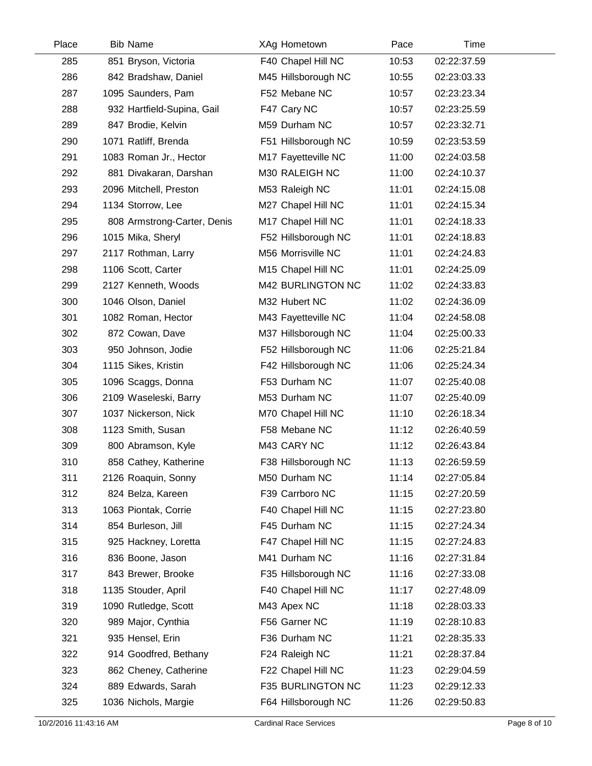| Place | <b>Bib Name</b>             | XAg Hometown        | Pace  | Time        |  |
|-------|-----------------------------|---------------------|-------|-------------|--|
| 285   | 851 Bryson, Victoria        | F40 Chapel Hill NC  | 10:53 | 02:22:37.59 |  |
| 286   | 842 Bradshaw, Daniel        | M45 Hillsborough NC | 10:55 | 02:23:03.33 |  |
| 287   | 1095 Saunders, Pam          | F52 Mebane NC       | 10:57 | 02:23:23.34 |  |
| 288   | 932 Hartfield-Supina, Gail  | F47 Cary NC         | 10:57 | 02:23:25.59 |  |
| 289   | 847 Brodie, Kelvin          | M59 Durham NC       | 10:57 | 02:23:32.71 |  |
| 290   | 1071 Ratliff, Brenda        | F51 Hillsborough NC | 10:59 | 02:23:53.59 |  |
| 291   | 1083 Roman Jr., Hector      | M17 Fayetteville NC | 11:00 | 02:24:03.58 |  |
| 292   | 881 Divakaran, Darshan      | M30 RALEIGH NC      | 11:00 | 02:24:10.37 |  |
| 293   | 2096 Mitchell, Preston      | M53 Raleigh NC      | 11:01 | 02:24:15.08 |  |
| 294   | 1134 Storrow, Lee           | M27 Chapel Hill NC  | 11:01 | 02:24:15.34 |  |
| 295   | 808 Armstrong-Carter, Denis | M17 Chapel Hill NC  | 11:01 | 02:24:18.33 |  |
| 296   | 1015 Mika, Sheryl           | F52 Hillsborough NC | 11:01 | 02:24:18.83 |  |
| 297   | 2117 Rothman, Larry         | M56 Morrisville NC  | 11:01 | 02:24:24.83 |  |
| 298   | 1106 Scott, Carter          | M15 Chapel Hill NC  | 11:01 | 02:24:25.09 |  |
| 299   | 2127 Kenneth, Woods         | M42 BURLINGTON NC   | 11:02 | 02:24:33.83 |  |
| 300   | 1046 Olson, Daniel          | M32 Hubert NC       | 11:02 | 02:24:36.09 |  |
| 301   | 1082 Roman, Hector          | M43 Fayetteville NC | 11:04 | 02:24:58.08 |  |
| 302   | 872 Cowan, Dave             | M37 Hillsborough NC | 11:04 | 02:25:00.33 |  |
| 303   | 950 Johnson, Jodie          | F52 Hillsborough NC | 11:06 | 02:25:21.84 |  |
| 304   | 1115 Sikes, Kristin         | F42 Hillsborough NC | 11:06 | 02:25:24.34 |  |
| 305   | 1096 Scaggs, Donna          | F53 Durham NC       | 11:07 | 02:25:40.08 |  |
| 306   | 2109 Waseleski, Barry       | M53 Durham NC       | 11:07 | 02:25:40.09 |  |
| 307   | 1037 Nickerson, Nick        | M70 Chapel Hill NC  | 11:10 | 02:26:18.34 |  |
| 308   | 1123 Smith, Susan           | F58 Mebane NC       | 11:12 | 02:26:40.59 |  |
| 309   | 800 Abramson, Kyle          | M43 CARY NC         | 11:12 | 02:26:43.84 |  |
| 310   | 858 Cathey, Katherine       | F38 Hillsborough NC | 11:13 | 02:26:59.59 |  |
| 311   | 2126 Roaquin, Sonny         | M50 Durham NC       | 11:14 | 02:27:05.84 |  |
| 312   | 824 Belza, Kareen           | F39 Carrboro NC     | 11:15 | 02:27:20.59 |  |
| 313   | 1063 Piontak, Corrie        | F40 Chapel Hill NC  | 11:15 | 02:27:23.80 |  |
| 314   | 854 Burleson, Jill          | F45 Durham NC       | 11:15 | 02:27:24.34 |  |
| 315   | 925 Hackney, Loretta        | F47 Chapel Hill NC  | 11:15 | 02:27:24.83 |  |
| 316   | 836 Boone, Jason            | M41 Durham NC       | 11:16 | 02:27:31.84 |  |
| 317   | 843 Brewer, Brooke          | F35 Hillsborough NC | 11:16 | 02:27:33.08 |  |
| 318   | 1135 Stouder, April         | F40 Chapel Hill NC  | 11:17 | 02:27:48.09 |  |
| 319   | 1090 Rutledge, Scott        | M43 Apex NC         | 11:18 | 02:28:03.33 |  |
| 320   | 989 Major, Cynthia          | F56 Garner NC       | 11:19 | 02:28:10.83 |  |
| 321   | 935 Hensel, Erin            | F36 Durham NC       | 11:21 | 02:28:35.33 |  |
| 322   | 914 Goodfred, Bethany       | F24 Raleigh NC      | 11:21 | 02:28:37.84 |  |
| 323   | 862 Cheney, Catherine       | F22 Chapel Hill NC  | 11:23 | 02:29:04.59 |  |
| 324   | 889 Edwards, Sarah          | F35 BURLINGTON NC   | 11:23 | 02:29:12.33 |  |
| 325   | 1036 Nichols, Margie        | F64 Hillsborough NC | 11:26 | 02:29:50.83 |  |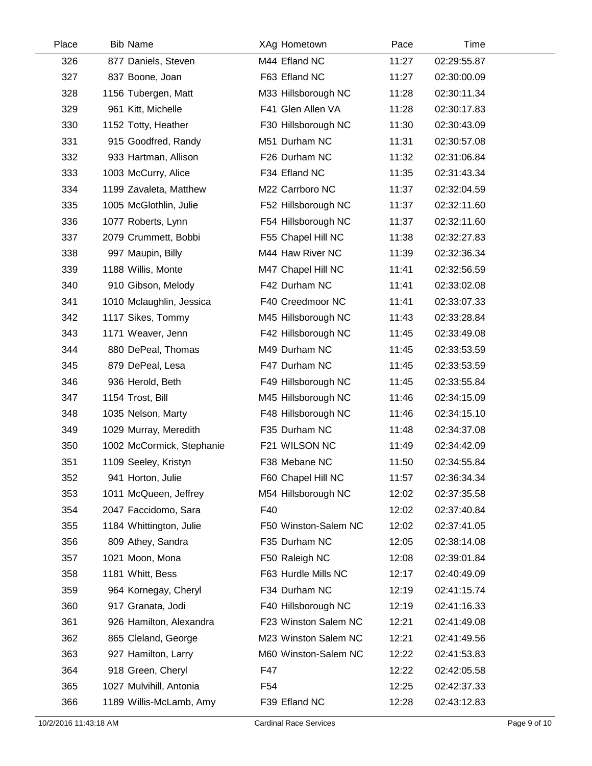| Place | <b>Bib Name</b>           | XAg Hometown         | Pace  | Time        |  |
|-------|---------------------------|----------------------|-------|-------------|--|
| 326   | 877 Daniels, Steven       | M44 Efland NC        | 11:27 | 02:29:55.87 |  |
| 327   | 837 Boone, Joan           | F63 Efland NC        | 11:27 | 02:30:00.09 |  |
| 328   | 1156 Tubergen, Matt       | M33 Hillsborough NC  | 11:28 | 02:30:11.34 |  |
| 329   | 961 Kitt, Michelle        | F41 Glen Allen VA    | 11:28 | 02:30:17.83 |  |
| 330   | 1152 Totty, Heather       | F30 Hillsborough NC  | 11:30 | 02:30:43.09 |  |
| 331   | 915 Goodfred, Randy       | M51 Durham NC        | 11:31 | 02:30:57.08 |  |
| 332   | 933 Hartman, Allison      | F26 Durham NC        | 11:32 | 02:31:06.84 |  |
| 333   | 1003 McCurry, Alice       | F34 Efland NC        | 11:35 | 02:31:43.34 |  |
| 334   | 1199 Zavaleta, Matthew    | M22 Carrboro NC      | 11:37 | 02:32:04.59 |  |
| 335   | 1005 McGlothlin, Julie    | F52 Hillsborough NC  | 11:37 | 02:32:11.60 |  |
| 336   | 1077 Roberts, Lynn        | F54 Hillsborough NC  | 11:37 | 02:32:11.60 |  |
| 337   | 2079 Crummett, Bobbi      | F55 Chapel Hill NC   | 11:38 | 02:32:27.83 |  |
| 338   | 997 Maupin, Billy         | M44 Haw River NC     | 11:39 | 02:32:36.34 |  |
| 339   | 1188 Willis, Monte        | M47 Chapel Hill NC   | 11:41 | 02:32:56.59 |  |
| 340   | 910 Gibson, Melody        | F42 Durham NC        | 11:41 | 02:33:02.08 |  |
| 341   | 1010 Mclaughlin, Jessica  | F40 Creedmoor NC     | 11:41 | 02:33:07.33 |  |
| 342   | 1117 Sikes, Tommy         | M45 Hillsborough NC  | 11:43 | 02:33:28.84 |  |
| 343   | 1171 Weaver, Jenn         | F42 Hillsborough NC  | 11:45 | 02:33:49.08 |  |
| 344   | 880 DePeal, Thomas        | M49 Durham NC        | 11:45 | 02:33:53.59 |  |
| 345   | 879 DePeal, Lesa          | F47 Durham NC        | 11:45 | 02:33:53.59 |  |
| 346   | 936 Herold, Beth          | F49 Hillsborough NC  | 11:45 | 02:33:55.84 |  |
| 347   | 1154 Trost, Bill          | M45 Hillsborough NC  | 11:46 | 02:34:15.09 |  |
| 348   | 1035 Nelson, Marty        | F48 Hillsborough NC  | 11:46 | 02:34:15.10 |  |
| 349   | 1029 Murray, Meredith     | F35 Durham NC        | 11:48 | 02:34:37.08 |  |
| 350   | 1002 McCormick, Stephanie | F21 WILSON NC        | 11:49 | 02:34:42.09 |  |
| 351   | 1109 Seeley, Kristyn      | F38 Mebane NC        | 11:50 | 02:34:55.84 |  |
| 352   | 941 Horton, Julie         | F60 Chapel Hill NC   | 11:57 | 02:36:34.34 |  |
| 353   | 1011 McQueen, Jeffrey     | M54 Hillsborough NC  | 12:02 | 02:37:35.58 |  |
| 354   | 2047 Faccidomo, Sara      | F40                  | 12:02 | 02:37:40.84 |  |
| 355   | 1184 Whittington, Julie   | F50 Winston-Salem NC | 12:02 | 02:37:41.05 |  |
| 356   | 809 Athey, Sandra         | F35 Durham NC        | 12:05 | 02:38:14.08 |  |
| 357   | 1021 Moon, Mona           | F50 Raleigh NC       | 12:08 | 02:39:01.84 |  |
| 358   | 1181 Whitt, Bess          | F63 Hurdle Mills NC  | 12:17 | 02:40:49.09 |  |
| 359   | 964 Kornegay, Cheryl      | F34 Durham NC        | 12:19 | 02:41:15.74 |  |
| 360   | 917 Granata, Jodi         | F40 Hillsborough NC  | 12:19 | 02:41:16.33 |  |
| 361   | 926 Hamilton, Alexandra   | F23 Winston Salem NC | 12:21 | 02:41:49.08 |  |
| 362   | 865 Cleland, George       | M23 Winston Salem NC | 12:21 | 02:41:49.56 |  |
| 363   | 927 Hamilton, Larry       | M60 Winston-Salem NC | 12:22 | 02:41:53.83 |  |
| 364   | 918 Green, Cheryl         | F47                  | 12:22 | 02:42:05.58 |  |
| 365   | 1027 Mulvihill, Antonia   | F <sub>54</sub>      | 12:25 | 02:42:37.33 |  |
| 366   | 1189 Willis-McLamb, Amy   | F39 Efland NC        | 12:28 | 02:43:12.83 |  |